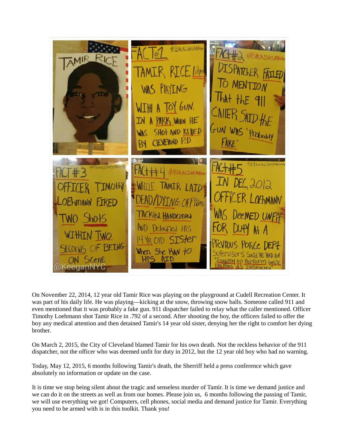

On November 22, 2014, 12 year old Tamir Rice was playing on the playground at Cudell Recreation Center. It was part of his daily life. He was playing—kicking at the snow, throwing snow balls. Someone called 911 and even mentioned that it was probably a fake gun. 911 dispatcher failed to relay what the caller mentioned. Officer Timothy Loehmann shot Tamir Rice in .792 of a second. After shooting the boy, the officers failed to offer the boy any medical attention and then detained Tamir's 14 year old sister, denying her the right to comfort her dying brother.

On March 2, 2015, the City of Cleveland blamed Tamir for his own death. Not the reckless behavior of the 911 dispatcher, not the officer who was deemed unfit for duty in 2012, but the 12 year old boy who had no warning.

Today, May 12, 2015, 6 months following Tamir's death, the Sherriff held a press conference which gave absolutely no information or update on the case.

It is time we stop being silent about the tragic and senseless murder of Tamir. It is time we demand justice and we can do it on the streets as well as from our homes. Please join us, 6 months following the passing of Tamir, we will use everything we got! Computers, cell phones, social media and demand justice for Tamir. Everything you need to be armed with is in this toolkit. Thank you!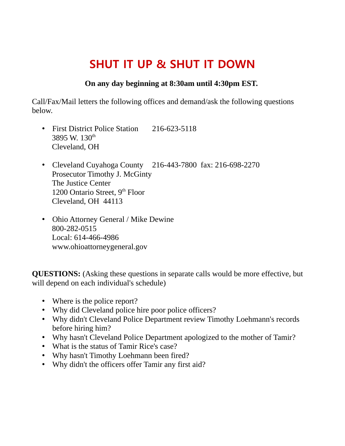## **SHUT IT UP & SHUT IT DOWN**

### **On any day beginning at 8:30am until 4:30pm EST.**

Call/Fax/Mail letters the following offices and demand/ask the following questions below.

- First District Police Station 216-623-5118 3895 W.  $130^{\text{th}}$ Cleveland, OH
- Cleveland Cuyahoga County 216-443-7800 fax: 216-698-2270 Prosecutor Timothy J. McGinty The Justice Center 1200 Ontario Street,  $9<sup>th</sup>$  Floor Cleveland, OH 44113
- Ohio Attorney General / Mike Dewine 800-282-0515 Local: 614-466-4986 www.ohioattorneygeneral.gov

**QUESTIONS:** (Asking these questions in separate calls would be more effective, but will depend on each individual's schedule)

- Where is the police report?
- Why did Cleveland police hire poor police officers?
- Why didn't Cleveland Police Department review Timothy Loehmann's records before hiring him?
- Why hasn't Cleveland Police Department apologized to the mother of Tamir?
- What is the status of Tamir Rice's case?
- Why hasn't Timothy Loehmann been fired?
- Why didn't the officers offer Tamir any first aid?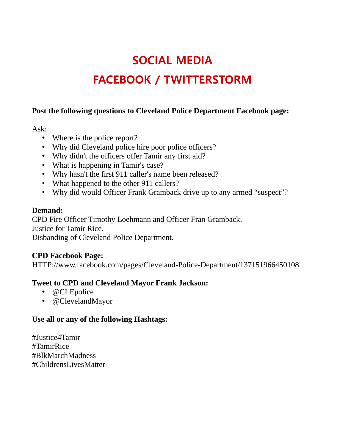# **SOCIAL MEDIA FACEBOOK / TWITTERSTORM**

### **Post the following questions to Cleveland Police Department Facebook page:**

Ask:

- Where is the police report?
- Why did Cleveland police hire poor police officers?
- Why didn't the officers offer Tamir any first aid?
- What is happening in Tamir's case?
- Why hasn't the first 911 caller's name been released?
- What happened to the other 911 callers?
- Why did would Officer Frank Gramback drive up to any armed "suspect"?

#### **Demand:**

CPD Fire Officer Timothy Loehmann and Officer Fran Gramback. Justice for Tamir Rice.

Disbanding of Cleveland Police Department.

### **CPD Facebook Page:**

HTTP://www.facebook.com/pages/Cleveland-Police-Department/137151966450108

### **Tweet to CPD and Cleveland Mayor Frank Jackson:**

- @CLEpolice
- @ClevelandMayor

### **Use all or any of the following Hashtags:**

#Justice4Tamir #TamirRice #BlkMarchMadness #ChildrensLivesMatter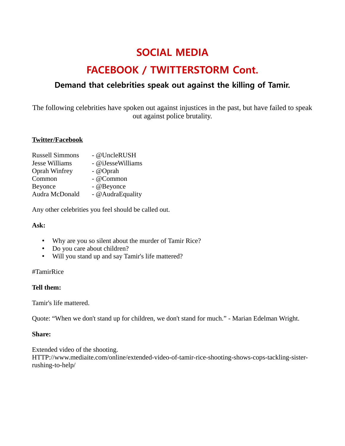## **SOCIAL MEDIA**

## **FACEBOOK / TWITTERSTORM Cont.**

### **Demand that celebrities speak out against the killing of Tamir.**

The following celebrities have spoken out against injustices in the past, but have failed to speak out against police brutality.

#### **Twitter/Facebook**

| - @UncleRUSH      |
|-------------------|
| - @iJesseWilliams |
| $-Q$ Oprah        |
| - @Common         |
| - @Beyonce        |
| - @AudraEquality  |
|                   |

Any other celebrities you feel should be called out.

#### **Ask:**

- Why are you so silent about the murder of Tamir Rice?
- Do you care about children?
- Will you stand up and say Tamir's life mattered?

#### #TamirRice

#### **Tell them:**

Tamir's life mattered.

Quote: "When we don't stand up for children, we don't stand for much." - Marian Edelman Wright.

#### **Share:**

Extended video of the shooting. HTTP://www.mediaite.com/online/extended-video-of-tamir-rice-shooting-shows-cops-tackling-sisterrushing-to-help/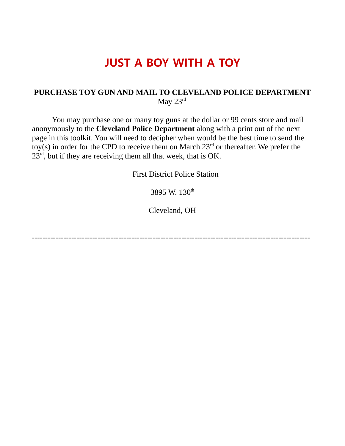## **JUST A BOY WITH A TOY**

#### **PURCHASE TOY GUN AND MAIL TO CLEVELAND POLICE DEPARTMENT** May 23rd

You may purchase one or many toy guns at the dollar or 99 cents store and mail anonymously to the **Cleveland Police Department** along with a print out of the next page in this toolkit. You will need to decipher when would be the best time to send the toy(s) in order for the CPD to receive them on March  $23<sup>rd</sup>$  or thereafter. We prefer the  $23<sup>rd</sup>$ , but if they are receiving them all that week, that is OK.

First District Police Station

3895 W. 130<sup>th</sup>

Cleveland, OH

----------------------------------------------------------------------------------------------------------